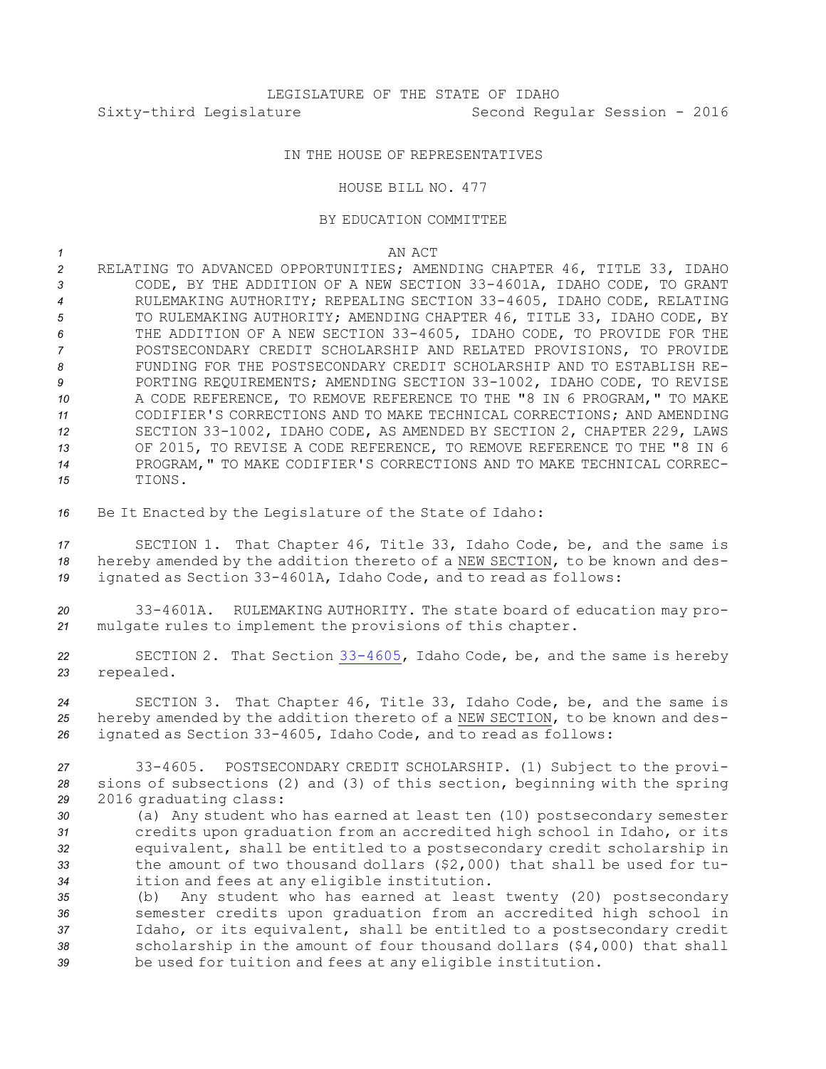# IN THE HOUSE OF REPRESENTATIVES

### HOUSE BILL NO. 477

### BY EDUCATION COMMITTEE

*1* AN ACT

 RELATING TO ADVANCED OPPORTUNITIES; AMENDING CHAPTER 46, TITLE 33, IDAHO CODE, BY THE ADDITION OF A NEW SECTION 33-4601A, IDAHO CODE, TO GRANT RULEMAKING AUTHORITY; REPEALING SECTION 33-4605, IDAHO CODE, RELATING TO RULEMAKING AUTHORITY; AMENDING CHAPTER 46, TITLE 33, IDAHO CODE, BY THE ADDITION OF A NEW SECTION 33-4605, IDAHO CODE, TO PROVIDE FOR THE POSTSECONDARY CREDIT SCHOLARSHIP AND RELATED PROVISIONS, TO PROVIDE FUNDING FOR THE POSTSECONDARY CREDIT SCHOLARSHIP AND TO ESTABLISH RE- PORTING REQUIREMENTS; AMENDING SECTION 33-1002, IDAHO CODE, TO REVISE A CODE REFERENCE, TO REMOVE REFERENCE TO THE "8 IN 6 PROGRAM," TO MAKE CODIFIER'S CORRECTIONS AND TO MAKE TECHNICAL CORRECTIONS; AND AMENDING SECTION 33-1002, IDAHO CODE, AS AMENDED BY SECTION 2, CHAPTER 229, LAWS OF 2015, TO REVISE A CODE REFERENCE, TO REMOVE REFERENCE TO THE "8 IN 6 PROGRAM," TO MAKE CODIFIER'S CORRECTIONS AND TO MAKE TECHNICAL CORREC-*15* TIONS.

*<sup>16</sup>* Be It Enacted by the Legislature of the State of Idaho:

*<sup>17</sup>* SECTION 1. That Chapter 46, Title 33, Idaho Code, be, and the same is *<sup>18</sup>* hereby amended by the addition thereto of <sup>a</sup> NEW SECTION, to be known and des-*<sup>19</sup>* ignated as Section 33-4601A, Idaho Code, and to read as follows:

*<sup>20</sup>* 33-4601A. RULEMAKING AUTHORITY. The state board of education may pro-*<sup>21</sup>* mulgate rules to implement the provisions of this chapter.

*<sup>22</sup>* SECTION 2. That Section [33-4605](http://www.legislature.idaho.gov/idstat/Title33/T33CH46SECT33-4605.htm), Idaho Code, be, and the same is hereby *<sup>23</sup>* repealed.

*<sup>24</sup>* SECTION 3. That Chapter 46, Title 33, Idaho Code, be, and the same is *<sup>25</sup>* hereby amended by the addition thereto of <sup>a</sup> NEW SECTION, to be known and des-*<sup>26</sup>* ignated as Section 33-4605, Idaho Code, and to read as follows:

*<sup>27</sup>* 33-4605. POSTSECONDARY CREDIT SCHOLARSHIP. (1) Subject to the provi-*<sup>28</sup>* sions of subsections (2) and (3) of this section, beginning with the spring *<sup>29</sup>* 2016 graduating class:

 (a) Any student who has earned at least ten (10) postsecondary semester credits upon graduation from an accredited high school in Idaho, or its equivalent, shall be entitled to <sup>a</sup> postsecondary credit scholarship in the amount of two thousand dollars (\$2,000) that shall be used for tu-ition and fees at any eligible institution.

 (b) Any student who has earned at least twenty (20) postsecondary semester credits upon graduation from an accredited high school in Idaho, or its equivalent, shall be entitled to <sup>a</sup> postsecondary credit scholarship in the amount of four thousand dollars (\$4,000) that shall be used for tuition and fees at any eligible institution.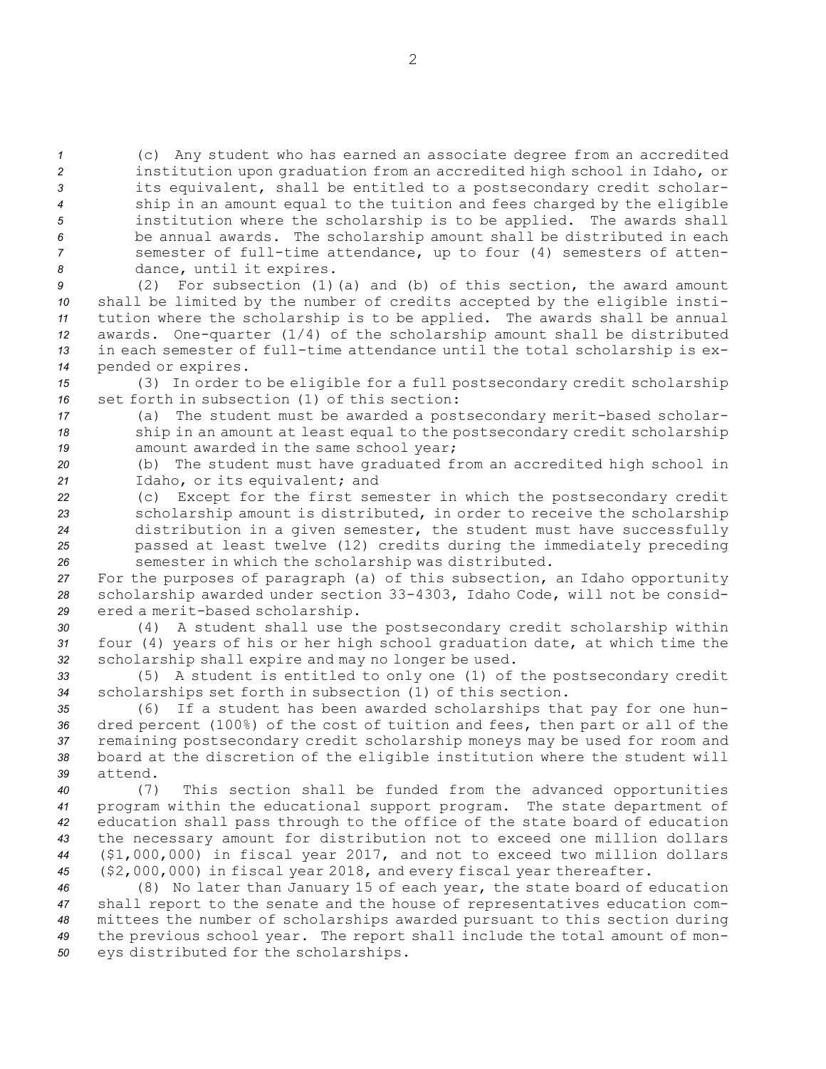(c) Any student who has earned an associate degree from an accredited institution upon graduation from an accredited high school in Idaho, or its equivalent, shall be entitled to <sup>a</sup> postsecondary credit scholar- ship in an amount equal to the tuition and fees charged by the eligible institution where the scholarship is to be applied. The awards shall be annual awards. The scholarship amount shall be distributed in each semester of full-time attendance, up to four (4) semesters of atten-dance, until it expires.

 (2) For subsection (1)(a) and (b) of this section, the award amount shall be limited by the number of credits accepted by the eligible insti- tution where the scholarship is to be applied. The awards shall be annual awards. One-quarter (1/4) of the scholarship amount shall be distributed in each semester of full-time attendance until the total scholarship is ex-pended or expires.

*<sup>15</sup>* (3) In order to be eligible for <sup>a</sup> full postsecondary credit scholarship *16* set forth in subsection (1) of this section:

- *<sup>17</sup>* (a) The student must be awarded <sup>a</sup> postsecondary merit-based scholar-*<sup>18</sup>* ship in an amount at least equal to the postsecondary credit scholarship *<sup>19</sup>* amount awarded in the same school year;
- *<sup>20</sup>* (b) The student must have graduated from an accredited high school in *<sup>21</sup>* Idaho, or its equivalent; and
- *<sup>22</sup>* (c) Except for the first semester in which the postsecondary credit *<sup>23</sup>* scholarship amount is distributed, in order to receive the scholarship *<sup>24</sup>* distribution in <sup>a</sup> given semester, the student must have successfully *<sup>25</sup>* passed at least twelve (12) credits during the immediately preceding *<sup>26</sup>* semester in which the scholarship was distributed.

*<sup>27</sup>* For the purposes of paragraph (a) of this subsection, an Idaho opportunity *<sup>28</sup>* scholarship awarded under section 33-4303, Idaho Code, will not be consid-*<sup>29</sup>* ered <sup>a</sup> merit-based scholarship.

*<sup>30</sup>* (4) <sup>A</sup> student shall use the postsecondary credit scholarship within *<sup>31</sup>* four (4) years of his or her high school graduation date, at which time the *<sup>32</sup>* scholarship shall expire and may no longer be used.

*<sup>33</sup>* (5) <sup>A</sup> student is entitled to only one (1) of the postsecondary credit *<sup>34</sup>* scholarships set forth in subsection (1) of this section.

 (6) If <sup>a</sup> student has been awarded scholarships that pay for one hun- dred percent (100%) of the cost of tuition and fees, then part or all of the remaining postsecondary credit scholarship moneys may be used for room and board at the discretion of the eligible institution where the student will *39* attend.

 (7) This section shall be funded from the advanced opportunities program within the educational support program. The state department of education shall pass through to the office of the state board of education the necessary amount for distribution not to exceed one million dollars (\$1,000,000) in fiscal year 2017, and not to exceed two million dollars (\$2,000,000) in fiscal year 2018, and every fiscal year thereafter.

 (8) No later than January 15 of each year, the state board of education shall report to the senate and the house of representatives education com- mittees the number of scholarships awarded pursuant to this section during the previous school year. The report shall include the total amount of mon-eys distributed for the scholarships.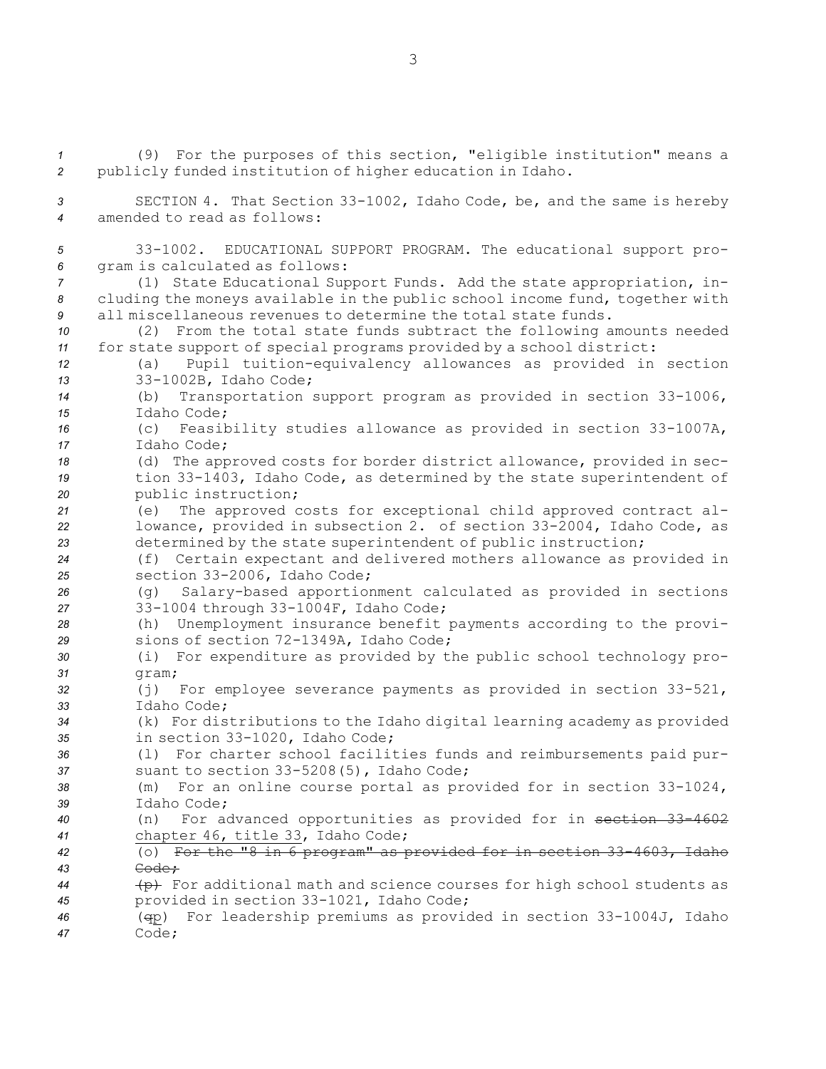(9) For the purposes of this section, "eligible institution" means <sup>a</sup> publicly funded institution of higher education in Idaho. SECTION 4. That Section 33-1002, Idaho Code, be, and the same is hereby amended to read as follows: 33-1002. EDUCATIONAL SUPPORT PROGRAM. The educational support pro- gram is calculated as follows: (1) State Educational Support Funds. Add the state appropriation, in- cluding the moneys available in the public school income fund, together with all miscellaneous revenues to determine the total state funds. (2) From the total state funds subtract the following amounts needed for state support of special programs provided by <sup>a</sup> school district: (a) Pupil tuition-equivalency allowances as provided in section 33-1002B, Idaho Code; (b) Transportation support program as provided in section 33-1006, Idaho Code; (c) Feasibility studies allowance as provided in section 33-1007A, Idaho Code; (d) The approved costs for border district allowance, provided in sec- tion 33-1403, Idaho Code, as determined by the state superintendent of public instruction; (e) The approved costs for exceptional child approved contract al- lowance, provided in subsection 2. of section 33-2004, Idaho Code, as determined by the state superintendent of public instruction; (f) Certain expectant and delivered mothers allowance as provided in section 33-2006, Idaho Code; (g) Salary-based apportionment calculated as provided in sections 33-1004 through 33-1004F, Idaho Code; (h) Unemployment insurance benefit payments according to the provi- sions of section 72-1349A, Idaho Code; (i) For expenditure as provided by the public school technology pro-*31* gram; (j) For employee severance payments as provided in section 33-521, Idaho Code; (k) For distributions to the Idaho digital learning academy as provided in section 33-1020, Idaho Code; (l) For charter school facilities funds and reimbursements paid pur- suant to section 33-5208(5), Idaho Code; (m) For an online course portal as provided for in section 33-1024, Idaho Code; (n) For advanced opportunities as provided for in section 33-4602 chapter 46, title 33, Idaho Code; (o) For the "8 in 6 program" as provided for in section 33-4603, Idaho *43* Code; (p) For additional math and science courses for high school students as provided in section 33-1021, Idaho Code; (qp) For leadership premiums as provided in section 33-1004J, Idaho *47* Code;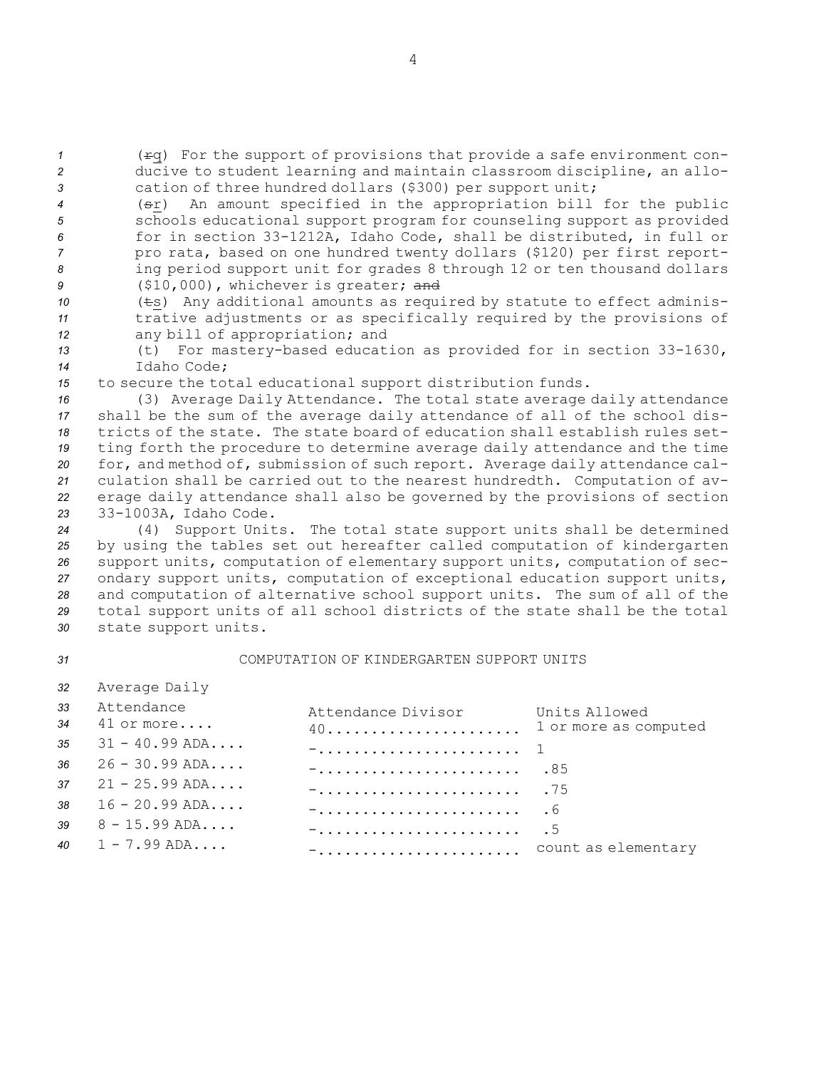*<sup>1</sup>* (rq) For the support of provisions that provide <sup>a</sup> safe environment con-*<sup>2</sup>* ducive to student learning and maintain classroom discipline, an allo-*<sup>3</sup>* cation of three hundred dollars (\$300) per support unit;

- *<sup>4</sup>* (sr) An amount specified in the appropriation bill for the public *<sup>5</sup>* schools educational support program for counseling support as provided *<sup>6</sup>* for in section 33-1212A, Idaho Code, shall be distributed, in full or *<sup>7</sup>* pro rata, based on one hundred twenty dollars (\$120) per first report-*<sup>8</sup>* ing period support unit for grades 8 through 12 or ten thousand dollars *<sup>9</sup>* (\$10,000), whichever is greater; and
- *<sup>10</sup>* (ts) Any additional amounts as required by statute to effect adminis-*<sup>11</sup>* trative adjustments or as specifically required by the provisions of *<sup>12</sup>* any bill of appropriation; and
- *<sup>13</sup>* (t) For mastery-based education as provided for in section 33-1630, *14* Idaho Code;
- *<sup>15</sup>* to secure the total educational support distribution funds.

*<sup>32</sup>* Average Daily

- *<sup>16</sup>* (3) Average Daily Attendance. The total state average daily attendance *<sup>17</sup>* shall be the sum of the average daily attendance of all of the school dis-*18* tricts of the state. The state board of education shall establish rules set-*<sup>19</sup>* ting forth the procedure to determine average daily attendance and the time *<sup>20</sup>* for, and method of, submission of such report. Average daily attendance cal-*<sup>21</sup>* culation shall be carried out to the nearest hundredth. Computation of av-*<sup>22</sup>* erage daily attendance shall also be governed by the provisions of section *<sup>23</sup>* 33-1003A, Idaho Code.
- *<sup>24</sup>* (4) Support Units. The total state support units shall be determined *<sup>25</sup>* by using the tables set out hereafter called computation of kindergarten *<sup>26</sup>* support units, computation of elementary support units, computation of sec-*<sup>27</sup>* ondary support units, computation of exceptional education support units, *<sup>28</sup>* and computation of alternative school support units. The sum of all of the *<sup>29</sup>* total support units of all school districts of the state shall be the total *<sup>30</sup>* state support units.
- *31* COMPUTATION OF KINDERGARTEN SUPPORT UNITS

| 33 Attendance<br>34 41 or more | Attendance Divisor Units Allowed | 1 or more as computed |
|--------------------------------|----------------------------------|-----------------------|
| 35 $31 - 40.99$ ADA            |                                  |                       |
| $36 \t26 - 30.99$ ADA          |                                  |                       |
| 37 $21 - 25.99$ ADA            |                                  |                       |
| 38 $16 - 20.99$ ADA            |                                  |                       |
| $39 \qquad 8 - 15.99$ ADA      |                                  |                       |
| 40 $1 - 7.99$ ADA              | - count as elementary            |                       |
|                                |                                  |                       |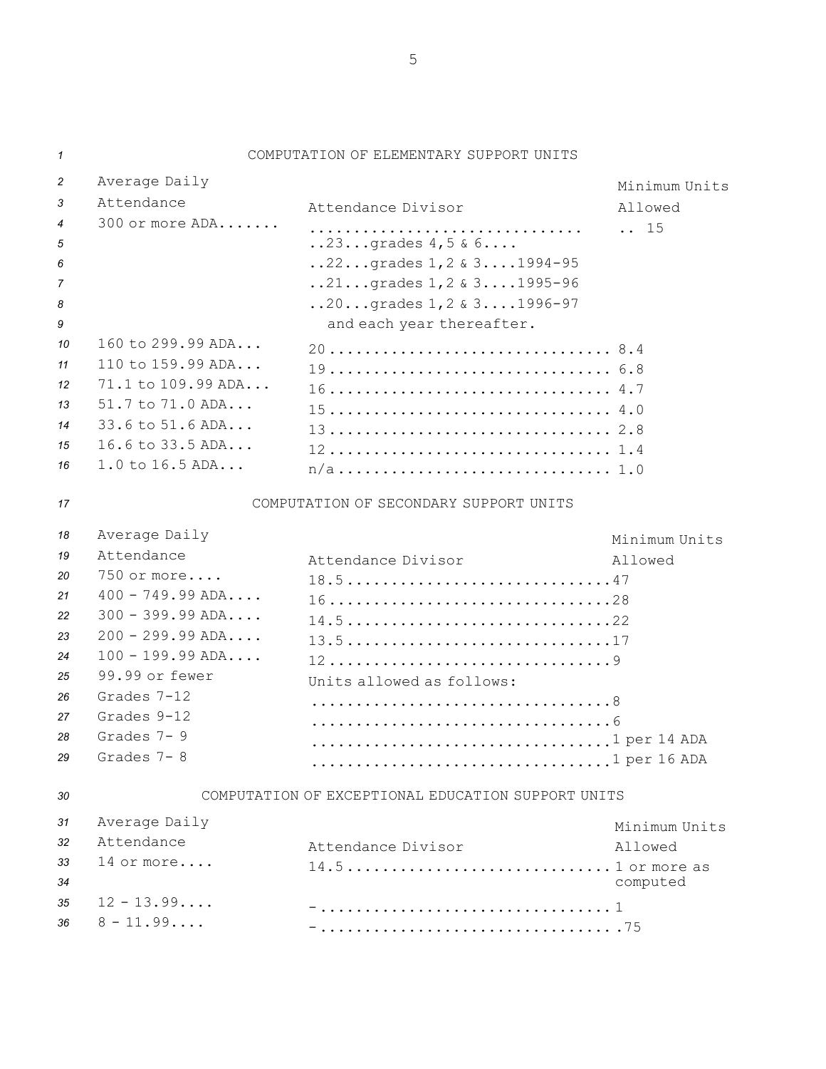| 1                                                                                           |                                                                                                                                                                                                                  | COMPUTATION OF ELEMENTARY SUPPORT UNITS                                                                                                                                                                                                       |                                         |
|---------------------------------------------------------------------------------------------|------------------------------------------------------------------------------------------------------------------------------------------------------------------------------------------------------------------|-----------------------------------------------------------------------------------------------------------------------------------------------------------------------------------------------------------------------------------------------|-----------------------------------------|
| $\overline{c}$<br>3<br>4<br>5<br>6<br>7<br>8<br>9<br>10<br>11<br>12<br>13<br>14<br>15<br>16 | Average Daily<br>Attendance<br>300 or more ADA<br>160 to 299.99 ADA<br>110 to 159.99 ADA<br>71.1 to 109.99 ADA<br>$51.7$ to $71.0$ ADA<br>33.6 to 51.6 ADA<br>16.6 to 33.5 ADA<br>1.0 to 16.5 ADA                | Attendance Divisor<br>$.23$ grades $4,5$ & $6$<br>22grades 1, 2 & 3 1994-95<br>$.21. grades 1, 2 & 3. 1995-96$<br>$20$ grades $1, 2 \& 31996 - 97$<br>and each year thereafter.<br>20 8.4<br>19 6.8<br>16 4.7<br>$15 4.0$<br>13 2.8<br>12 1.4 | Minimum Units<br>Allowed<br>$\ldots$ 15 |
| 17                                                                                          |                                                                                                                                                                                                                  | COMPUTATION OF SECONDARY SUPPORT UNITS                                                                                                                                                                                                        |                                         |
| 18<br>19<br>20<br>21<br>22<br>23<br>24<br>25<br>26<br>27<br>28<br>29                        | Average Daily<br>Attendance<br>750 or more<br>$400 - 749.99$ ADA<br>$300 - 399.99$ ADA<br>$200 - 299.99$ ADA<br>$100 - 199.99$ ADA<br>99.99 or fewer<br>Grades 7-12<br>Grades 9-12<br>Grades 7-9<br>Grades $7-8$ | Attendance Divisor<br>18.547<br>1628<br>$14.522$<br>13.517<br>129<br>Units allowed as follows:<br>1 per 14 ADA<br>1 per 16 ADA                                                                                                                | Minimum Units<br>Allowed                |
| 30                                                                                          |                                                                                                                                                                                                                  | COMPUTATION OF EXCEPTIONAL EDUCATION SUPPORT UNITS                                                                                                                                                                                            |                                         |
| 31<br>32<br>33<br>34<br>35<br>36                                                            | Average Daily<br>Attendance<br>14 or more<br>$12 - 13.99$<br>$8 - 11.99$                                                                                                                                         | Attendance Divisor<br>$14.51$ or more as                                                                                                                                                                                                      | Minimum Units<br>Allowed<br>computed    |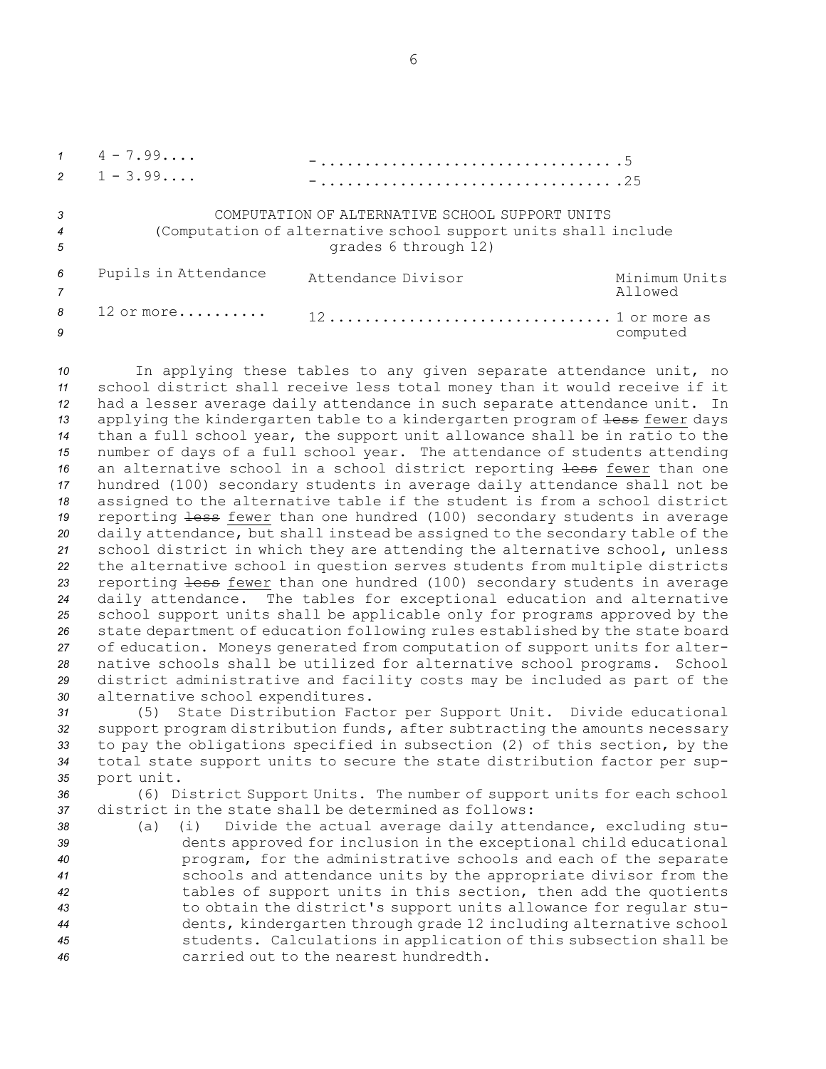$1 \t 4 - 7.99...$ -................................. .5  $2 \t 1 - 3.99...$ -................................. .25 *3* COMPUTATION OF ALTERNATIVE SCHOOL SUPPORT UNITS *<sup>4</sup>* (Computation of alternative school support units shall include *<sup>5</sup>* grades 6 through 12) *<sup>6</sup>* Pupils in Attendance Attendance Divisor Minimum Units *7* Allowed *8* 12 or more.......... 12................................ 1 or more as **9** computed

 In applying these tables to any given separate attendance unit, no school district shall receive less total money than it would receive if it had <sup>a</sup> lesser average daily attendance in such separate attendance unit. In 13 applying the kindergarten table to a kindergarten program of <del>less</del> fewer days than <sup>a</sup> full school year, the support unit allowance shall be in ratio to the number of days of <sup>a</sup> full school year. The attendance of students attending 16 an alternative school in a school district reporting less fewer than one hundred (100) secondary students in average daily attendance shall not be assigned to the alternative table if the student is from <sup>a</sup> school district 19 reporting less fewer than one hundred (100) secondary students in average daily attendance, but shall instead be assigned to the secondary table of the school district in which they are attending the alternative school, unless the alternative school in question serves students from multiple districts reporting less fewer than one hundred (100) secondary students in average daily attendance. The tables for exceptional education and alternative school support units shall be applicable only for programs approved by the state department of education following rules established by the state board of education. Moneys generated from computation of support units for alter- native schools shall be utilized for alternative school programs. School district administrative and facility costs may be included as part of the alternative school expenditures.

 (5) State Distribution Factor per Support Unit. Divide educational support program distribution funds, after subtracting the amounts necessary to pay the obligations specified in subsection (2) of this section, by the total state support units to secure the state distribution factor per sup-port unit.

*<sup>36</sup>* (6) District Support Units. The number of support units for each school *37* district in the state shall be determined as follows:

 (a) (i) Divide the actual average daily attendance, excluding stu- dents approved for inclusion in the exceptional child educational program, for the administrative schools and each of the separate schools and attendance units by the appropriate divisor from the tables of support units in this section, then add the quotients to obtain the district's support units allowance for regular stu- dents, kindergarten through grade 12 including alternative school students. Calculations in application of this subsection shall be carried out to the nearest hundredth.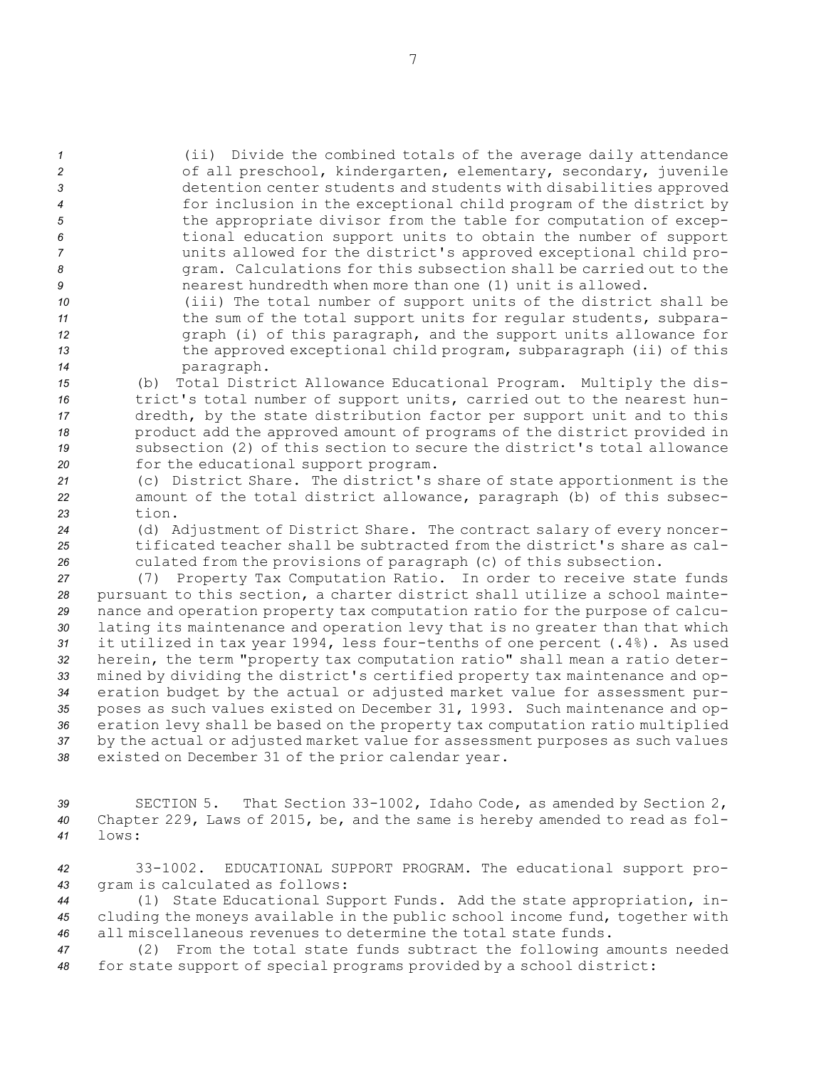(ii) Divide the combined totals of the average daily attendance of all preschool, kindergarten, elementary, secondary, juvenile detention center students and students with disabilities approved for inclusion in the exceptional child program of the district by the appropriate divisor from the table for computation of excep- tional education support units to obtain the number of support units allowed for the district's approved exceptional child pro- gram. Calculations for this subsection shall be carried out to the nearest hundredth when more than one (1) unit is allowed.

- *<sup>10</sup>* (iii) The total number of support units of the district shall be 11 **11** the sum of the total support units for regular students, subpara-*<sup>12</sup>* graph (i) of this paragraph, and the support units allowance for *<sup>13</sup>* the approved exceptional child program, subparagraph (ii) of this *<sup>14</sup>* paragraph.
- *<sup>15</sup>* (b) Total District Allowance Educational Program. Multiply the dis-*<sup>16</sup>* trict's total number of support units, carried out to the nearest hun-*<sup>17</sup>* dredth, by the state distribution factor per support unit and to this *<sup>18</sup>* product add the approved amount of programs of the district provided in *19* subsection (2) of this section to secure the district's total allowance *<sup>20</sup>* for the educational support program.
- *<sup>21</sup>* (c) District Share. The district's share of state apportionment is the *<sup>22</sup>* amount of the total district allowance, paragraph (b) of this subsec-*23* tion.
- *<sup>24</sup>* (d) Adjustment of District Share. The contract salary of every noncer-*25* tificated teacher shall be subtracted from the district's share as cal-*<sup>26</sup>* culated from the provisions of paragraph (c) of this subsection.

 (7) Property Tax Computation Ratio. In order to receive state funds pursuant to this section, <sup>a</sup> charter district shall utilize <sup>a</sup> school mainte- nance and operation property tax computation ratio for the purpose of calcu- lating its maintenance and operation levy that is no greater than that which it utilized in tax year 1994, less four-tenths of one percent (.4%). As used herein, the term "property tax computation ratio" shall mean <sup>a</sup> ratio deter- mined by dividing the district's certified property tax maintenance and op- eration budget by the actual or adjusted market value for assessment pur- poses as such values existed on December 31, 1993. Such maintenance and op- eration levy shall be based on the property tax computation ratio multiplied by the actual or adjusted market value for assessment purposes as such values existed on December 31 of the prior calendar year.

- *<sup>39</sup>* SECTION 5. That Section 33-1002, Idaho Code, as amended by Section 2, *<sup>40</sup>* Chapter 229, Laws of 2015, be, and the same is hereby amended to read as fol-*41* lows:
- *<sup>42</sup>* 33-1002. EDUCATIONAL SUPPORT PROGRAM. The educational support pro-*<sup>43</sup>* gram is calculated as follows:
- *<sup>44</sup>* (1) State Educational Support Funds. Add the state appropriation, in-*<sup>45</sup>* cluding the moneys available in the public school income fund, together with *46* all miscellaneous revenues to determine the total state funds.
- *<sup>47</sup>* (2) From the total state funds subtract the following amounts needed *<sup>48</sup>* for state support of special programs provided by <sup>a</sup> school district: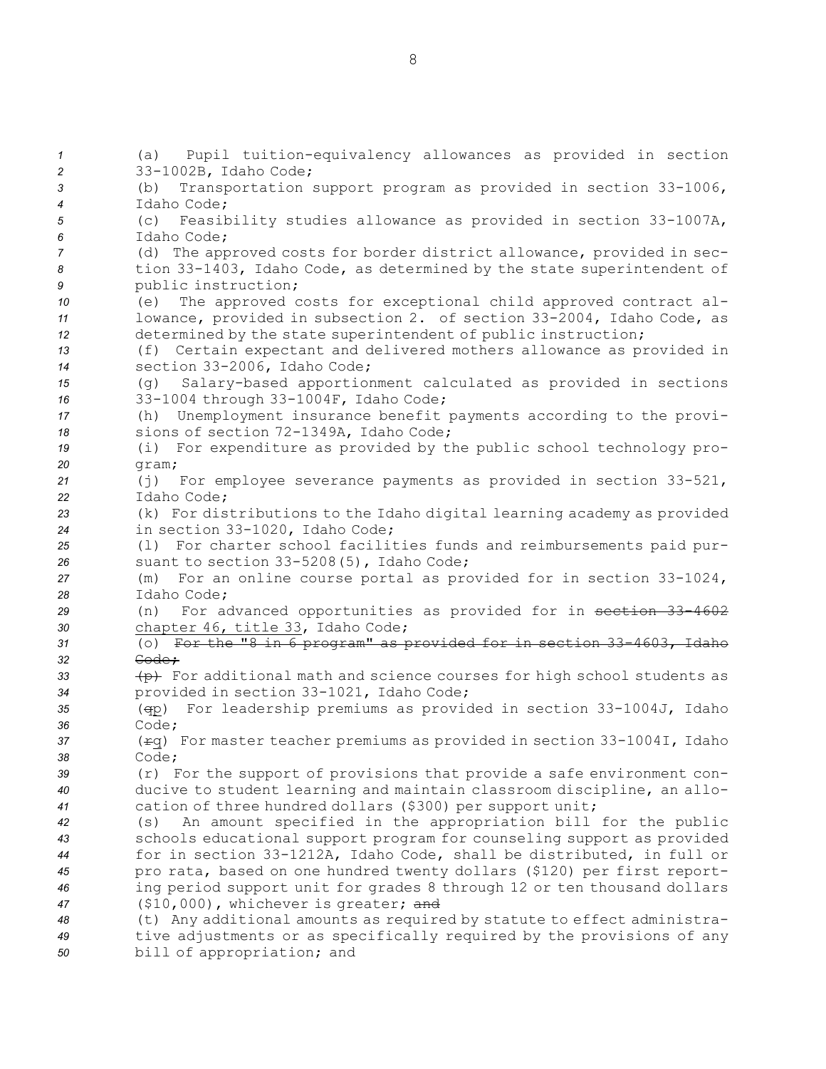(a) Pupil tuition-equivalency allowances as provided in section 33-1002B, Idaho Code; (b) Transportation support program as provided in section 33-1006, Idaho Code; (c) Feasibility studies allowance as provided in section 33-1007A, Idaho Code; (d) The approved costs for border district allowance, provided in sec- tion 33-1403, Idaho Code, as determined by the state superintendent of public instruction; (e) The approved costs for exceptional child approved contract al- lowance, provided in subsection 2. of section 33-2004, Idaho Code, as determined by the state superintendent of public instruction; (f) Certain expectant and delivered mothers allowance as provided in section 33-2006, Idaho Code; (g) Salary-based apportionment calculated as provided in sections 33-1004 through 33-1004F, Idaho Code; (h) Unemployment insurance benefit payments according to the provi- sions of section 72-1349A, Idaho Code; (i) For expenditure as provided by the public school technology pro-*20* gram; (j) For employee severance payments as provided in section 33-521, Idaho Code; (k) For distributions to the Idaho digital learning academy as provided in section 33-1020, Idaho Code; (l) For charter school facilities funds and reimbursements paid pur- suant to section 33-5208(5), Idaho Code; (m) For an online course portal as provided for in section 33-1024, Idaho Code; (n) For advanced opportunities as provided for in section 33-4602 chapter 46, title 33, Idaho Code; (o) For the "8 in 6 program" as provided for in section 33-4603, Idaho *32* Code; **(p)** For additional math and science courses for high school students as provided in section 33-1021, Idaho Code; (qp) For leadership premiums as provided in section 33-1004J, Idaho *36* Code; (rq) For master teacher premiums as provided in section 33-1004I, Idaho *38* Code; (r) For the support of provisions that provide <sup>a</sup> safe environment con- ducive to student learning and maintain classroom discipline, an allo- cation of three hundred dollars (\$300) per support unit; (s) An amount specified in the appropriation bill for the public schools educational support program for counseling support as provided for in section 33-1212A, Idaho Code, shall be distributed, in full or pro rata, based on one hundred twenty dollars (\$120) per first report- ing period support unit for grades 8 through 12 or ten thousand dollars (\$10,000), whichever is greater; and (t) Any additional amounts as required by statute to effect administra- tive adjustments or as specifically required by the provisions of any bill of appropriation; and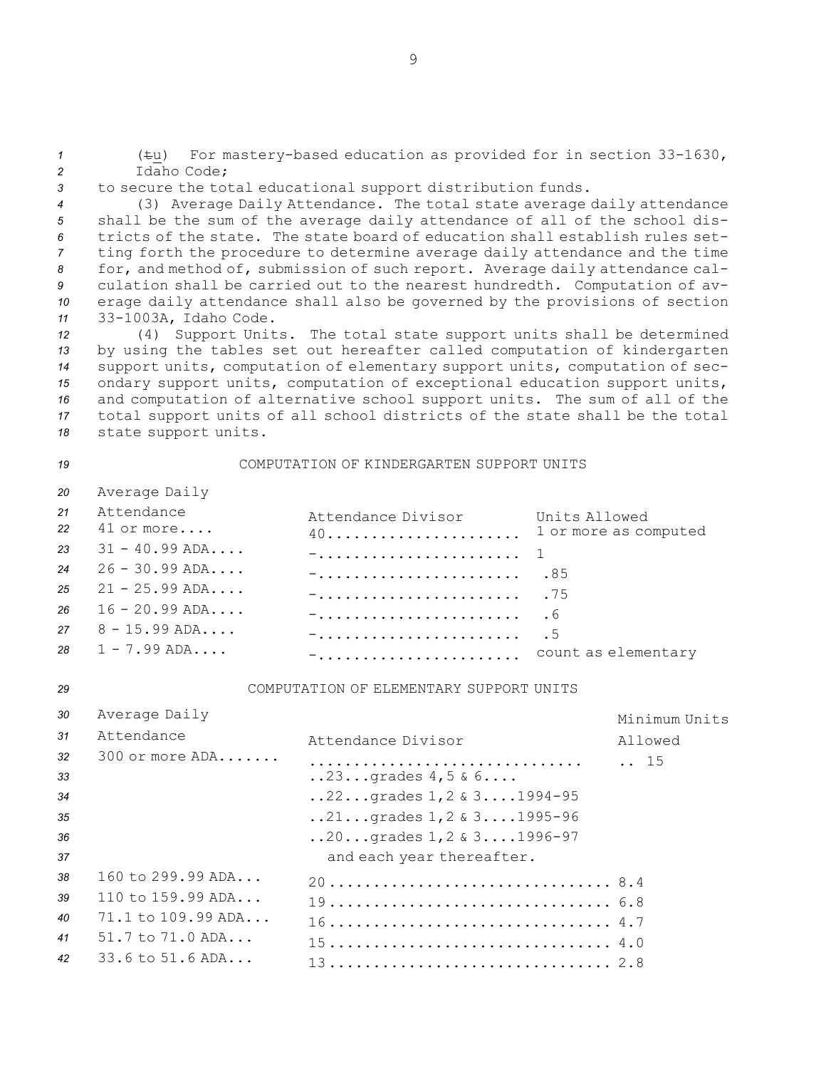*<sup>1</sup>* (tu) For mastery-based education as provided for in section 33-1630, *2* Idaho Code;

*<sup>3</sup>* to secure the total educational support distribution funds.

 (3) Average Daily Attendance. The total state average daily attendance shall be the sum of the average daily attendance of all of the school dis- tricts of the state. The state board of education shall establish rules set- ting forth the procedure to determine average daily attendance and the time for, and method of, submission of such report. Average daily attendance cal- culation shall be carried out to the nearest hundredth. Computation of av- erage daily attendance shall also be governed by the provisions of section 33-1003A, Idaho Code.

 (4) Support Units. The total state support units shall be determined by using the tables set out hereafter called computation of kindergarten support units, computation of elementary support units, computation of sec- ondary support units, computation of exceptional education support units, and computation of alternative school support units. The sum of all of the total support units of all school districts of the state shall be the total state support units.

# *19* COMPUTATION OF KINDERGARTEN SUPPORT UNITS

|    | 20 Average Daily            |                                                              |  |
|----|-----------------------------|--------------------------------------------------------------|--|
| 21 | Attendance<br>22 41 or more | Attendance Divisor Units Allowed<br>40 1 or more as computed |  |
|    | 23 $31 - 40.99$ ADA         |                                                              |  |
|    | $24 \t26 - 30.99$ ADA       |                                                              |  |
|    | $25 \t 21 - 25.99$ ADA      | $-$ 75                                                       |  |
|    | $26$ 16 - 20.99 ADA         |                                                              |  |
|    | $27 \t 8 - 15.99$ ADA       |                                                              |  |
|    | 28 $1 - 7.99$ ADA           | - count as elementary                                        |  |

### *29* COMPUTATION OF ELEMENTARY SUPPORT UNITS

| 30       | Average Daily                        |                                                                                                 | Minimum Units |
|----------|--------------------------------------|-------------------------------------------------------------------------------------------------|---------------|
| 31       | Attendance                           | Attendance Divisor                                                                              | Allowed       |
| 32<br>33 | $300$ or more $ADA$                  | $.23$ qrades $4,5 & 6$                                                                          | 15            |
| 34       |                                      | $.22$ grades $1, 2 \& 31994-95$                                                                 |               |
| 35       |                                      | $.21$ grades $1,2$ & $31995-96$                                                                 |               |
| 36       |                                      | $20$ grades $1, 2 \& 31996 - 97$                                                                |               |
| 37       |                                      | and each year thereafter.                                                                       |               |
| 38       | $160 \text{ to } 299.99 \text{ ADA}$ |                                                                                                 |               |
| 39       | $110 \text{ to } 159.99 \text{ ADA}$ |                                                                                                 |               |
| 40       | $71.1$ to $109.99$ ADA               |                                                                                                 |               |
| 41       | $51.7$ to $71.0$ ADA                 | $15 \ldots \ldots \ldots \ldots \ldots \ldots \ldots \ldots \ldots \ldots \ldots \ldots \ldots$ |               |
| 42       | $33.6$ to $51.6$ ADA                 |                                                                                                 |               |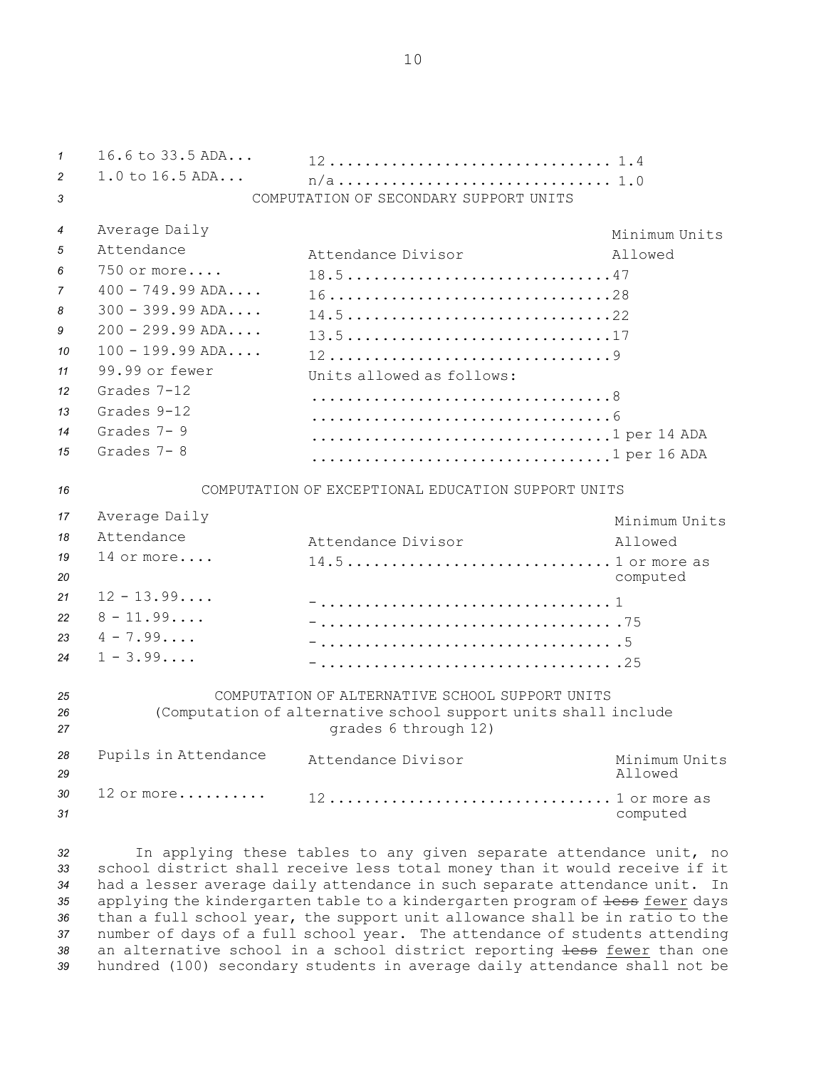*1* 16.6 to 33.5 ADA... 12................................ 1.4 *<sup>2</sup>* 1.0 to 16.5 ADA... n/a............................... 1.0 *3* COMPUTATION OF SECONDARY SUPPORT UNITS *<sup>4</sup>* Average Daily Minimum Units *5* Attendance Attendance Divisor Allowed *6* 750 or more.... 18.5..............................47 *7* 400 - 749.99 ADA.... 16................................28 *8* 300 - 399.99 ADA.... 14.5..............................22 *9* 200 - 299.99 ADA.... 13.5..............................17 *10* 100 - 199.99 ADA.... 12................................9 *11* 99.99 or fewer Units allowed as follows: *12* Grades 7-12 ..................................8 *13* Grades 9-12 ..................................6 *14* Grades 7- 9 ...................................1 per 14 ADA *15* Grades 7- 8 ....................................1 per 16 ADA *16* COMPUTATION OF EXCEPTIONAL EDUCATION SUPPORT UNITS *<sup>17</sup>* Average Daily Minimum Units *18* Attendance Attendance Divisor **Allowed** *19* 14 or more....  $14.5..............................1$  or more as *<sup>20</sup>* computed *21* 12 - 13.99.... -................................. 1 *22* 8 - 11.99.... -................................. .75 *23* 4 - 7.99.... -................................. .5  $24 \quad 1 - 3.99...$ -................................. .25 *25* COMPUTATION OF ALTERNATIVE SCHOOL SUPPORT UNITS *<sup>26</sup>* (Computation of alternative school support units shall include *<sup>27</sup>* grades 6 through 12) *<sup>28</sup>* Pupils in Attendance Attendance Divisor Minimum Units *29* Allowed *30* 12 or more..........  $12.................................1$  or more as *<sup>31</sup>* computed

 In applying these tables to any given separate attendance unit, no school district shall receive less total money than it would receive if it had <sup>a</sup> lesser average daily attendance in such separate attendance unit. In 35 applying the kindergarten table to a kindergarten program of <del>less</del> fewer days than <sup>a</sup> full school year, the support unit allowance shall be in ratio to the number of days of <sup>a</sup> full school year. The attendance of students attending an alternative school in <sup>a</sup> school district reporting less fewer than one hundred (100) secondary students in average daily attendance shall not be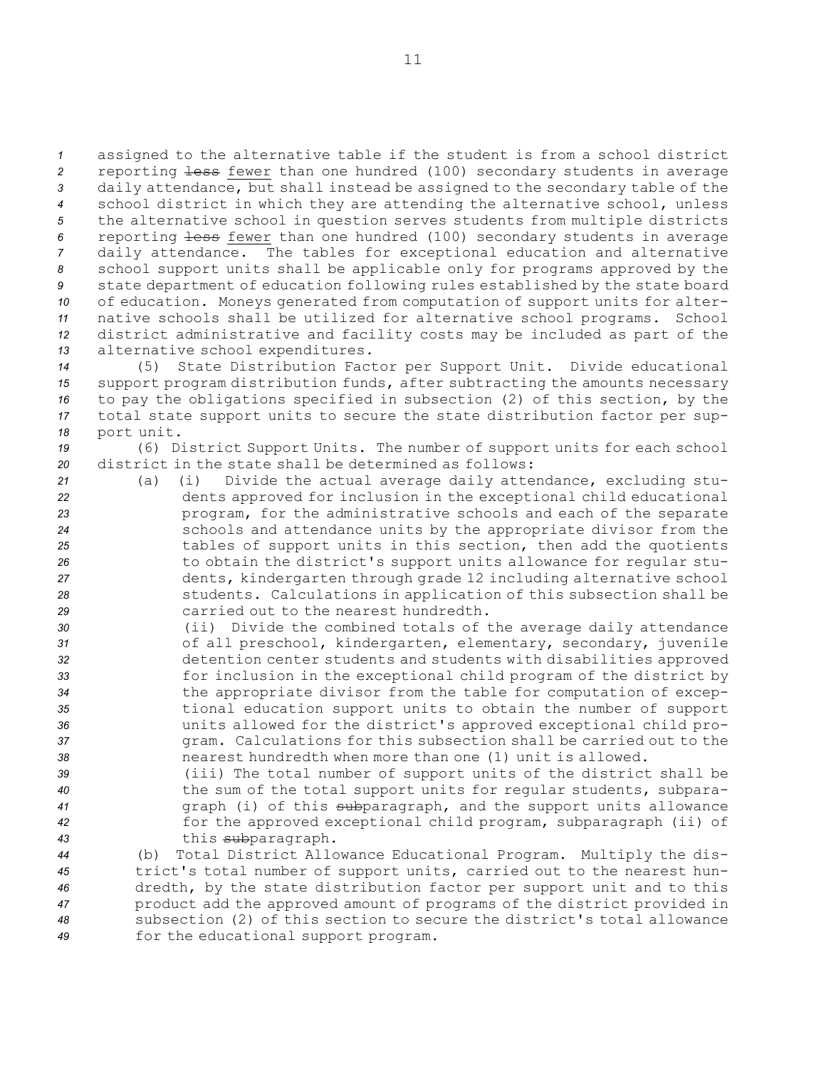assigned to the alternative table if the student is from <sup>a</sup> school district reporting less fewer than one hundred (100) secondary students in average daily attendance, but shall instead be assigned to the secondary table of the school district in which they are attending the alternative school, unless the alternative school in question serves students from multiple districts reporting less fewer than one hundred (100) secondary students in average daily attendance. The tables for exceptional education and alternative school support units shall be applicable only for programs approved by the state department of education following rules established by the state board of education. Moneys generated from computation of support units for alter- native schools shall be utilized for alternative school programs. School district administrative and facility costs may be included as part of the alternative school expenditures.

 (5) State Distribution Factor per Support Unit. Divide educational support program distribution funds, after subtracting the amounts necessary to pay the obligations specified in subsection (2) of this section, by the total state support units to secure the state distribution factor per sup-port unit.

*<sup>19</sup>* (6) District Support Units. The number of support units for each school *20* district in the state shall be determined as follows:

- *<sup>21</sup>* (a) (i) Divide the actual average daily attendance, excluding stu-*<sup>22</sup>* dents approved for inclusion in the exceptional child educational *<sup>23</sup>* program, for the administrative schools and each of the separate *<sup>24</sup>* schools and attendance units by the appropriate divisor from the *<sup>25</sup>* tables of support units in this section, then add the quotients *<sup>26</sup>* to obtain the district's support units allowance for regular stu-*<sup>27</sup>* dents, kindergarten through grade 12 including alternative school *<sup>28</sup>* students. Calculations in application of this subsection shall be *29* carried out to the nearest hundredth.
- *<sup>30</sup>* (ii) Divide the combined totals of the average daily attendance *<sup>31</sup>* of all preschool, kindergarten, elementary, secondary, juvenile *<sup>32</sup>* detention center students and students with disabilities approved *<sup>33</sup>* for inclusion in the exceptional child program of the district by *<sup>34</sup>* the appropriate divisor from the table for computation of excep-*<sup>35</sup>* tional education support units to obtain the number of support *<sup>36</sup>* units allowed for the district's approved exceptional child pro-*<sup>37</sup>* gram. Calculations for this subsection shall be carried out to the *38* nearest hundredth when more than one (1) unit is allowed.
- *<sup>39</sup>* (iii) The total number of support units of the district shall be *<sup>40</sup>* the sum of the total support units for regular students, subpara-*<sup>41</sup>* graph (i) of this subparagraph, and the support units allowance *<sup>42</sup>* for the approved exceptional child program, subparagraph (ii) of *<sup>43</sup>* this subparagraph.

 (b) Total District Allowance Educational Program. Multiply the dis- trict's total number of support units, carried out to the nearest hun- dredth, by the state distribution factor per support unit and to this product add the approved amount of programs of the district provided in subsection (2) of this section to secure the district's total allowance for the educational support program.